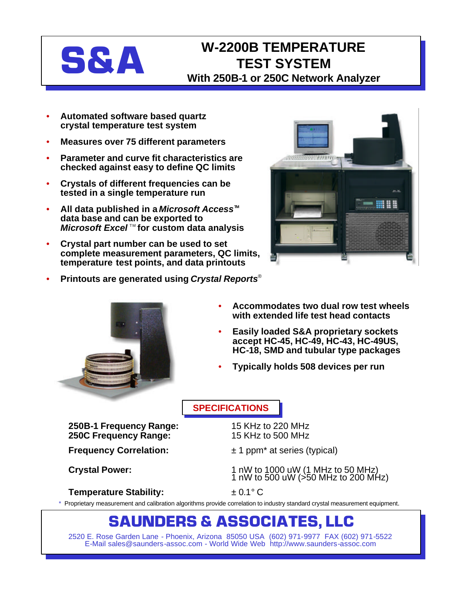# **S&A**

## **W-2200B TEMPERATURE TEST SYSTEM With 250B-1 or 250C Network Analyzer**

- **Automated software based quartz crystal temperature test system**
- **Measures over 75 different parameters**
- **Parameter and curve fit characteristics are checked against easy to define QC limits**
- **Crystals of different frequencies can be tested in a single temperature run**
- **All data published in a** *Microsoft Access*<sup>™</sup> **data base and can be exported to** *Microsoft Excel*<sup>™</sup> for custom data analysis
- **Crystal part number can be used to set complete measurement parameters, QC limits, temperature test points, and data printouts**
- **Printouts are generated using** *Crystal Reports*®





- **Accommodates two dual row test wheels with extended life test head contacts**
- **Easily loaded S&A proprietary sockets accept HC-45, HC-49, HC-43, HC-49US, HC-18, SMD and tubular type packages**
- **Typically holds 508 devices per run**

### **SPECIFICATIONS**

**250B-1 Frequency Range:** 15 KHz to 220 MHz **250C Frequency Range:** 

**Frequency Correlation:**  $\pm 1$  ppm<sup>\*</sup> at series (typical)

**Crystal Power:** 1 nW to 1000 uW (1 MHz to 50 MHz) 1 nW to 500 uW ( $>50$  MHz to 200 MHz)

**Temperature Stability:**  $\pm 0.1^{\circ} \text{C}$ 

Proprietary measurement and calibration algorithms provide correlation to industry standard crystal measurement equipment.

## **SAUNDERS & ASSOCIATES, LLC**

2520 E. Rose Garden Lane - Phoenix, Arizona 85050 USA (602) 971-9977 FAX (602) 971-5522 E-Mail sales@saunders-assoc.com - World Wide Web http://www.saunders-assoc.com